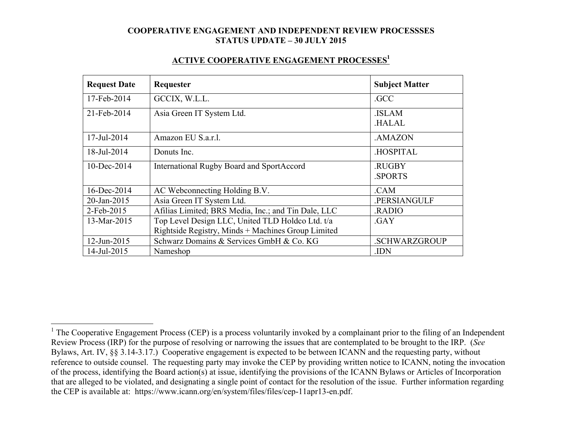#### **ACTIVE COOPERATIVE ENGAGEMENT PROCESSES1**

| <b>Request Date</b> | Requester                                           | <b>Subject Matter</b>         |
|---------------------|-----------------------------------------------------|-------------------------------|
| 17-Feb-2014         | GCCIX, W.L.L.                                       | .GCC                          |
| 21-Feb-2014         | Asia Green IT System Ltd.                           | <b>ISLAM</b><br><b>HALAL</b>  |
| 17-Jul-2014         | Amazon EU S.a.r.l.                                  | .AMAZON                       |
| 18-Jul-2014         | Donuts Inc.                                         | <b>HOSPITAL</b>               |
| $10$ -Dec-2014      | <b>International Rugby Board and SportAccord</b>    | <b>RUGBY</b><br><b>SPORTS</b> |
| 16-Dec-2014         | AC Webconnecting Holding B.V.                       | .CAM                          |
| 20-Jan-2015         | Asia Green IT System Ltd.                           | .PERSIANGULF                  |
| 2-Feb-2015          | Afilias Limited; BRS Media, Inc.; and Tin Dale, LLC | <b>RADIO</b>                  |
| 13-Mar-2015         | Top Level Design LLC, United TLD Holdco Ltd. t/a    | .GAY                          |
|                     | Rightside Registry, Minds + Machines Group Limited  |                               |
| 12-Jun-2015         | Schwarz Domains & Services GmbH & Co. KG            | .SCHWARZGROUP                 |
| 14-Jul-2015         | Nameshop                                            | .IDN                          |

<sup>&</sup>lt;sup>1</sup> The Cooperative Engagement Process (CEP) is a process voluntarily invoked by a complainant prior to the filing of an Independent Review Process (IRP) for the purpose of resolving or narrowing the issues that are contemplated to be brought to the IRP. (*See* Bylaws, Art. IV, §§ 3.14-3.17.) Cooperative engagement is expected to be between ICANN and the requesting party, without reference to outside counsel. The requesting party may invoke the CEP by providing written notice to ICANN, noting the invocation of the process, identifying the Board action(s) at issue, identifying the provisions of the ICANN Bylaws or Articles of Incorporation that are alleged to be violated, and designating a single point of contact for the resolution of the issue. Further information regarding the CEP is available at: https://www.icann.org/en/system/files/files/cep-11apr13-en.pdf.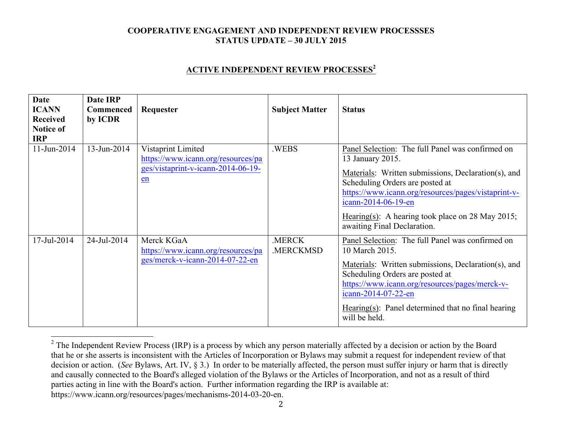### **ACTIVE INDEPENDENT REVIEW PROCESSES<sup>2</sup>**

| <b>Date</b><br><b>ICANN</b><br><b>Received</b><br><b>Notice of</b><br><b>IRP</b> | Date IRP<br><b>Commenced</b><br>by ICDR | Requester                                                                                            | <b>Subject Matter</b> | <b>Status</b>                                                                                                                                                                                                                                                                                                                   |
|----------------------------------------------------------------------------------|-----------------------------------------|------------------------------------------------------------------------------------------------------|-----------------------|---------------------------------------------------------------------------------------------------------------------------------------------------------------------------------------------------------------------------------------------------------------------------------------------------------------------------------|
| 11-Jun-2014                                                                      | 13-Jun-2014                             | Vistaprint Limited<br>https://www.icann.org/resources/pa<br>ges/vistaprint-v-icann-2014-06-19-<br>en | .WEBS                 | Panel Selection: The full Panel was confirmed on<br>13 January 2015.<br>Materials: Written submissions, Declaration(s), and<br>Scheduling Orders are posted at<br>https://www.icann.org/resources/pages/vistaprint-v-<br>icann-2014-06-19-en<br>Hearing(s): A hearing took place on 28 May 2015;<br>awaiting Final Declaration. |
| 17-Jul-2014                                                                      | 24-Jul-2014                             | Merck KGaA<br>https://www.icann.org/resources/pa<br>ges/merck-v-icann-2014-07-22-en                  | .MERCK<br>.MERCKMSD   | Panel Selection: The full Panel was confirmed on<br>10 March 2015.<br>Materials: Written submissions, Declaration(s), and<br>Scheduling Orders are posted at<br>https://www.icann.org/resources/pages/merck-v-<br>icann-2014-07-22-en<br>Hearing(s): Panel determined that no final hearing<br>will be held.                    |

 $2$  The Independent Review Process (IRP) is a process by which any person materially affected by a decision or action by the Board that he or she asserts is inconsistent with the Articles of Incorporation or Bylaws may submit a request for independent review of that decision or action. (*See* Bylaws, Art. IV, § 3.) In order to be materially affected, the person must suffer injury or harm that is directly and causally connected to the Board's alleged violation of the Bylaws or the Articles of Incorporation, and not as a result of third parties acting in line with the Board's action. Further information regarding the IRP is available at: https://www.icann.org/resources/pages/mechanisms-2014-03-20-en.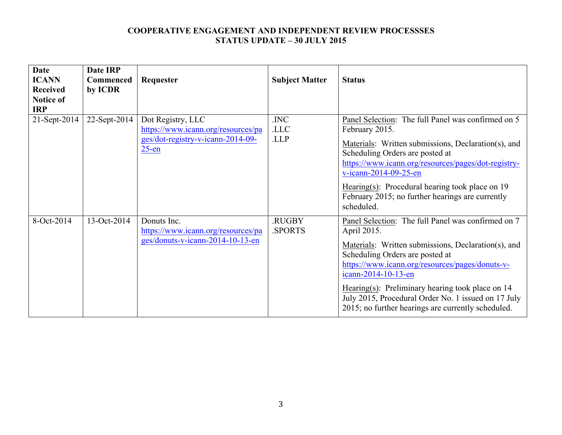| <b>Date</b><br><b>ICANN</b><br><b>Received</b><br><b>Notice of</b><br><b>IRP</b> | Date IRP<br><b>Commenced</b><br>by ICDR | Requester                                                                                                | <b>Subject Matter</b> | <b>Status</b>                                                                                                                                                                                                                                                                                                                                                                                          |
|----------------------------------------------------------------------------------|-----------------------------------------|----------------------------------------------------------------------------------------------------------|-----------------------|--------------------------------------------------------------------------------------------------------------------------------------------------------------------------------------------------------------------------------------------------------------------------------------------------------------------------------------------------------------------------------------------------------|
| 21-Sept-2014                                                                     | 22-Sept-2014                            | Dot Registry, LLC<br>https://www.icann.org/resources/pa<br>ges/dot-registry-v-icann-2014-09-<br>$25$ -en | .INC<br>.LLC<br>LLP.  | Panel Selection: The full Panel was confirmed on 5<br>February 2015.<br>Materials: Written submissions, Declaration(s), and<br>Scheduling Orders are posted at<br>https://www.icann.org/resources/pages/dot-registry-<br>v-icann-2014-09-25-en<br>Hearing(s): Procedural hearing took place on 19<br>February 2015; no further hearings are currently<br>scheduled.                                    |
| 8-Oct-2014                                                                       | 13-Oct-2014                             | Donuts Inc.<br>https://www.icann.org/resources/pa<br>ges/donuts-v-icann-2014-10-13-en                    | .RUGBY<br>.SPORTS     | Panel Selection: The full Panel was confirmed on 7<br>April 2015.<br>Materials: Written submissions, Declaration(s), and<br>Scheduling Orders are posted at<br>https://www.icann.org/resources/pages/donuts-v-<br>icann-2014-10-13-en<br>Hearing(s): Preliminary hearing took place on 14<br>July 2015, Procedural Order No. 1 issued on 17 July<br>2015; no further hearings are currently scheduled. |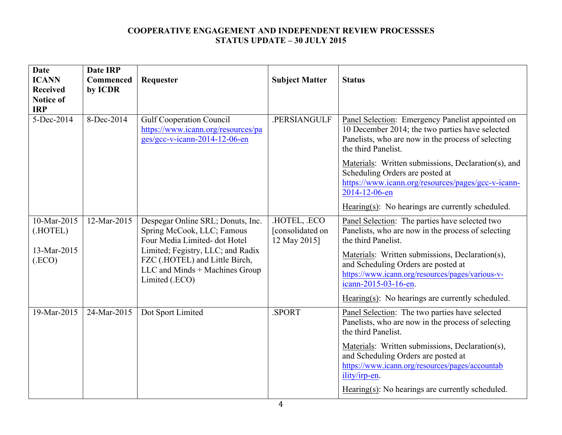| <b>Date</b><br><b>ICANN</b><br><b>Received</b><br><b>Notice of</b><br><b>IRP</b> | <b>Date IRP</b><br>Commenced<br>by ICDR | Requester                                                                                                               | <b>Subject Matter</b>                          | <b>Status</b>                                                                                                                                                                    |
|----------------------------------------------------------------------------------|-----------------------------------------|-------------------------------------------------------------------------------------------------------------------------|------------------------------------------------|----------------------------------------------------------------------------------------------------------------------------------------------------------------------------------|
| 5-Dec-2014                                                                       | 8-Dec-2014                              | <b>Gulf Cooperation Council</b><br>https://www.icann.org/resources/pa<br>ges/gcc-v-icann-2014-12-06-en                  | .PERSIANGULF                                   | Panel Selection: Emergency Panelist appointed on<br>10 December 2014; the two parties have selected<br>Panelists, who are now in the process of selecting<br>the third Panelist. |
|                                                                                  |                                         |                                                                                                                         |                                                | Materials: Written submissions, Declaration(s), and<br>Scheduling Orders are posted at<br>https://www.icann.org/resources/pages/gcc-v-icann-<br>2014-12-06-en                    |
|                                                                                  |                                         |                                                                                                                         |                                                | Hearing $(s)$ : No hearings are currently scheduled.                                                                                                                             |
| 10-Mar-2015<br>(.HOTEL)                                                          | 12-Mar-2015                             | Despegar Online SRL; Donuts, Inc.<br>Spring McCook, LLC; Famous<br>Four Media Limited- dot Hotel                        | HOTEL, ECO<br>[consolidated on<br>12 May 2015] | Panel Selection: The parties have selected two<br>Panelists, who are now in the process of selecting<br>the third Panelist.                                                      |
| 13-Mar-2015<br>(ECO)                                                             |                                         | Limited; Fegistry, LLC; and Radix<br>FZC (.HOTEL) and Little Birch,<br>LLC and Minds + Machines Group<br>Limited (.ECO) |                                                | Materials: Written submissions, Declaration(s),<br>and Scheduling Orders are posted at<br>https://www.icann.org/resources/pages/various-v-<br>icann-2015-03-16-en.               |
|                                                                                  |                                         |                                                                                                                         |                                                | Hearing(s): No hearings are currently scheduled.                                                                                                                                 |
| 19-Mar-2015                                                                      | 24-Mar-2015                             | Dot Sport Limited                                                                                                       | .SPORT                                         | Panel Selection: The two parties have selected<br>Panelists, who are now in the process of selecting<br>the third Panelist.                                                      |
|                                                                                  |                                         |                                                                                                                         |                                                | Materials: Written submissions, Declaration(s),<br>and Scheduling Orders are posted at<br>https://www.icann.org/resources/pages/accountab<br>ility/irp-en.                       |
|                                                                                  |                                         |                                                                                                                         |                                                | Hearing $(s)$ : No hearings are currently scheduled.                                                                                                                             |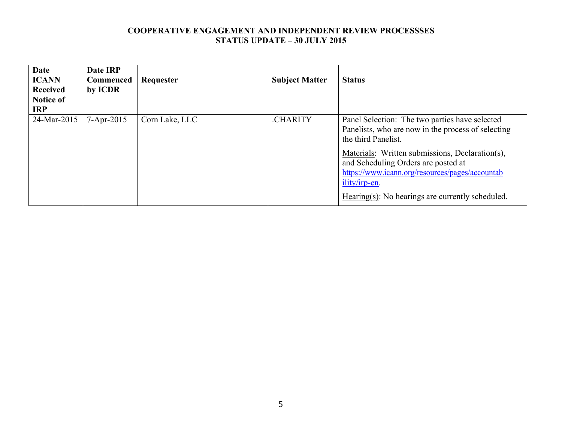| <b>Date</b><br><b>ICANN</b><br><b>Received</b><br><b>Notice of</b><br><b>IRP</b> | Date IRP<br><b>Commenced</b><br>by ICDR | Requester      | <b>Subject Matter</b> | <b>Status</b>                                                                                                                                                                                                                                                                                                                                        |
|----------------------------------------------------------------------------------|-----------------------------------------|----------------|-----------------------|------------------------------------------------------------------------------------------------------------------------------------------------------------------------------------------------------------------------------------------------------------------------------------------------------------------------------------------------------|
| 24-Mar-2015                                                                      | $7 - Apr - 2015$                        | Corn Lake, LLC | .CHARITY              | <b>Panel Selection:</b> The two parties have selected<br>Panelists, who are now in the process of selecting<br>the third Panelist.<br>Materials: Written submissions, Declaration(s),<br>and Scheduling Orders are posted at<br>https://www.icann.org/resources/pages/accountab<br>ility/irp-en.<br>Hearing(s): No hearings are currently scheduled. |